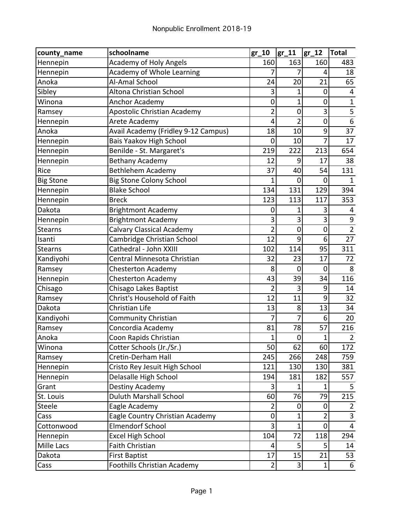| county_name       | schoolname                          | $gr_10$        | $gr_11$        | $gr_12$        | <b>Total</b>     |
|-------------------|-------------------------------------|----------------|----------------|----------------|------------------|
| Hennepin          | <b>Academy of Holy Angels</b>       | 160            | 163            | 160            | 483              |
| Hennepin          | Academy of Whole Learning           |                | 7              | 4              | 18               |
| Anoka             | Al-Amal School                      | 24             | 20             | 21             | 65               |
| Sibley            | Altona Christian School             | 3              | 1              | $\mathbf 0$    | 4                |
| Winona            | Anchor Academy                      | 0              | 1              | $\overline{0}$ | $\overline{1}$   |
| Ramsey            | Apostolic Christian Academy         | $\overline{2}$ | $\mathbf 0$    | 3              | $\frac{5}{6}$    |
| Hennepin          | Arete Academy                       | 4              | $\overline{2}$ | $\overline{0}$ |                  |
| Anoka             | Avail Academy (Fridley 9-12 Campus) | 18             | 10             | 9              | 37               |
| Hennepin          | Bais Yaakov High School             | $\overline{0}$ | 10             | 7              | 17               |
| Hennepin          | Benilde - St. Margaret's            | 219            | 222            | 213            | 654              |
| Hennepin          | <b>Bethany Academy</b>              | 12             | 9              | 17             | 38               |
| Rice              | <b>Bethlehem Academy</b>            | 37             | 40             | 54             | 131              |
| <b>Big Stone</b>  | <b>Big Stone Colony School</b>      | 1              | 0              | 0              | 1                |
| Hennepin          | <b>Blake School</b>                 | 134            | 131            | 129            | 394              |
| Hennepin          | <b>Breck</b>                        | 123            | 113            | 117            | 353              |
| Dakota            | <b>Brightmont Academy</b>           | 0              | 1              | 3              | 4                |
| Hennepin          | <b>Brightmont Academy</b>           | 3              | 3              | 3              | $\boldsymbol{9}$ |
| <b>Stearns</b>    | <b>Calvary Classical Academy</b>    | 2              | 0              | $\mathbf 0$    | $\overline{2}$   |
| Isanti            | Cambridge Christian School          | 12             | 9              | 6              | 27               |
| <b>Stearns</b>    | Cathedral - John XXIII              | 102            | 114            | 95             | 311              |
| Kandiyohi         | Central Minnesota Christian         | 32             | 23             | 17             | 72               |
| Ramsey            | <b>Chesterton Academy</b>           | 8              | $\mathbf 0$    | 0              | 8                |
| Hennepin          | <b>Chesterton Academy</b>           | 43             | 39             | 34             | 116              |
| Chisago           | Chisago Lakes Baptist               | $\overline{2}$ | 3              | 9              | 14               |
| Ramsey            | Christ's Household of Faith         | 12             | 11             | 9              | 32               |
| Dakota            | Christian Life                      | 13             | 8              | 13             | 34               |
| Kandiyohi         | <b>Community Christian</b>          | 7              | 7              | 6              | 20               |
| Ramsey            | Concordia Academy                   | 81             | 78             | 57             | 216              |
| Anoka             | Coon Rapids Christian               | 1              | 0              | 1              | $\overline{2}$   |
| Winona            | Cotter Schools (Jr./Sr.)            | 50             | 62             | 60             | 172              |
| Ramsey            | Cretin-Derham Hall                  | 245            | 266            | 248            | 759              |
| Hennepin          | Cristo Rey Jesuit High School       | 121            | 130            | 130            | 381              |
| Hennepin          | Delasalle High School               | 194            | 181            | 182            | 557              |
| Grant             | Destiny Academy                     | 3              | 1              | 1              | 5                |
| St. Louis         | <b>Duluth Marshall School</b>       | 60             | 76             | 79             | 215              |
| Steele            | Eagle Academy                       | $\overline{2}$ | 0              | 0              | $\overline{2}$   |
| Cass              | Eagle Country Christian Academy     | $\mathbf 0$    | 1              | $\overline{2}$ | $\overline{3}$   |
| Cottonwood        | <b>Elmendorf School</b>             | 3              | 1              | $\overline{0}$ | 4                |
| Hennepin          | <b>Excel High School</b>            | 104            | 72             | 118            | 294              |
| <b>Mille Lacs</b> | <b>Faith Christian</b>              | 4              | 5              | 5              | 14               |
| Dakota            | <b>First Baptist</b>                | 17             | 15             | 21             | 53               |
| Cass              | Foothills Christian Academy         | 2 <sup>1</sup> | 3              | $\mathbf{1}$   | 6                |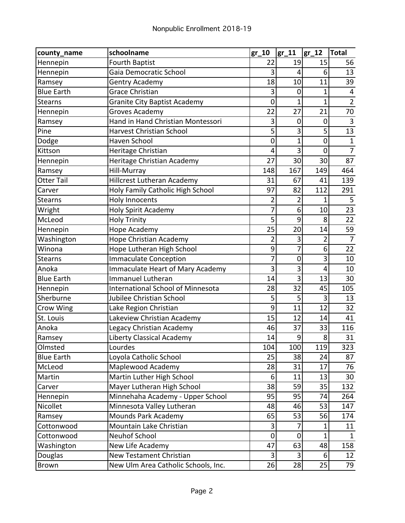| county_name       | schoolname                               | $gr_10$        | $gr_11$ | $gr_12$        | <b>Total</b>            |
|-------------------|------------------------------------------|----------------|---------|----------------|-------------------------|
| Hennepin          | <b>Fourth Baptist</b>                    | 22             | 19      | 15             | 56                      |
| Hennepin          | Gaia Democratic School                   | 3              | 4       | 6              | 13                      |
| Ramsey            | <b>Gentry Academy</b>                    | 18             | 10      | 11             | 39                      |
| <b>Blue Earth</b> | <b>Grace Christian</b>                   | 3              | 0       | $\mathbf 1$    | $\overline{\mathbf{4}}$ |
| <b>Stearns</b>    | <b>Granite City Baptist Academy</b>      | $\mathbf 0$    | 1       | $\mathbf 1$    | $\overline{2}$          |
| Hennepin          | Groves Academy                           | 22             | 27      | 21             | 70                      |
| Ramsey            | Hand in Hand Christian Montessori        | 3              | 0       | $\mathbf 0$    | $\overline{3}$          |
| Pine              | <b>Harvest Christian School</b>          | 5              | 3       | 5              | 13                      |
| Dodge             | Haven School                             | $\mathbf 0$    | 1       | $\overline{0}$ | $\mathbf 1$             |
| Kittson           | Heritage Christian                       | 4              | 3       | 0              | $\overline{7}$          |
| Hennepin          | Heritage Christian Academy               | 27             | 30      | 30             | 87                      |
| Ramsey            | Hill-Murray                              | 148            | 167     | 149            | 464                     |
| Otter Tail        | Hillcrest Lutheran Academy               | 31             | 67      | 41             | 139                     |
| Carver            | Holy Family Catholic High School         | 97             | 82      | 112            | 291                     |
| Stearns           | <b>Holy Innocents</b>                    | 2              | 2       | 1              | 5                       |
| Wright            | <b>Holy Spirit Academy</b>               | 7              | 6       | 10             | 23                      |
| McLeod            | <b>Holy Trinity</b>                      | 5              | 9       | 8              | 22                      |
| Hennepin          | <b>Hope Academy</b>                      | 25             | 20      | 14             | 59                      |
| Washington        | Hope Christian Academy                   | 2              | 3       | 2              | $\overline{7}$          |
| Winona            | Hope Lutheran High School                | 9              | 7       | 6              | 22                      |
| Stearns           | <b>Immaculate Conception</b>             | 7              | 0       | 3              | 10                      |
| Anoka             | Immaculate Heart of Mary Academy         | 3              | 3       | 4              | 10                      |
| <b>Blue Earth</b> | <b>Immanuel Lutheran</b>                 | 14             | 3       | 13             | 30                      |
| Hennepin          | <b>International School of Minnesota</b> | 28             | 32      | 45             | 105                     |
| Sherburne         | Jubilee Christian School                 | 5              | 5       | 3              | 13                      |
| <b>Crow Wing</b>  | Lake Region Christian                    | 9              | 11      | 12             | 32                      |
| St. Louis         | Lakeview Christian Academy               | 15             | 12      | 14             | 41                      |
| Anoka             | Legacy Christian Academy                 | 46             | 37      | 33             | 116                     |
| Ramsey            | Liberty Classical Academy                | 14             | 9       | 8              | 31                      |
| Olmsted           | Lourdes                                  | 104            | 100     | 119            | 323                     |
| <b>Blue Earth</b> | Loyola Catholic School                   | 25             | 38      | 24             | 87                      |
| McLeod            | Maplewood Academy                        | 28             | 31      | 17             | 76                      |
| Martin            | Martin Luther High School                | 6              | 11      | 13             | 30                      |
| Carver            | Mayer Lutheran High School               | 38             | 59      | 35             | 132                     |
| Hennepin          | Minnehaha Academy - Upper School         | 95             | 95      | 74             | 264                     |
| Nicollet          | Minnesota Valley Lutheran                | 48             | 46      | 53             | 147                     |
| Ramsey            | Mounds Park Academy                      | 65             | 53      | 56             | 174                     |
| Cottonwood        | Mountain Lake Christian                  | 3              | 7       | 1              | 11                      |
| Cottonwood        | <b>Neuhof School</b>                     | $\mathbf 0$    | 0       | $\mathbf{1}$   | $\mathbf{1}$            |
| Washington        | New Life Academy                         | 47             | 63      | 48             | 158                     |
| Douglas           | New Testament Christian                  | 3 <sup>1</sup> | 3       | 6              | 12                      |
| Brown             | New Ulm Area Catholic Schools, Inc.      | 26             | 28      | 25             | 79                      |